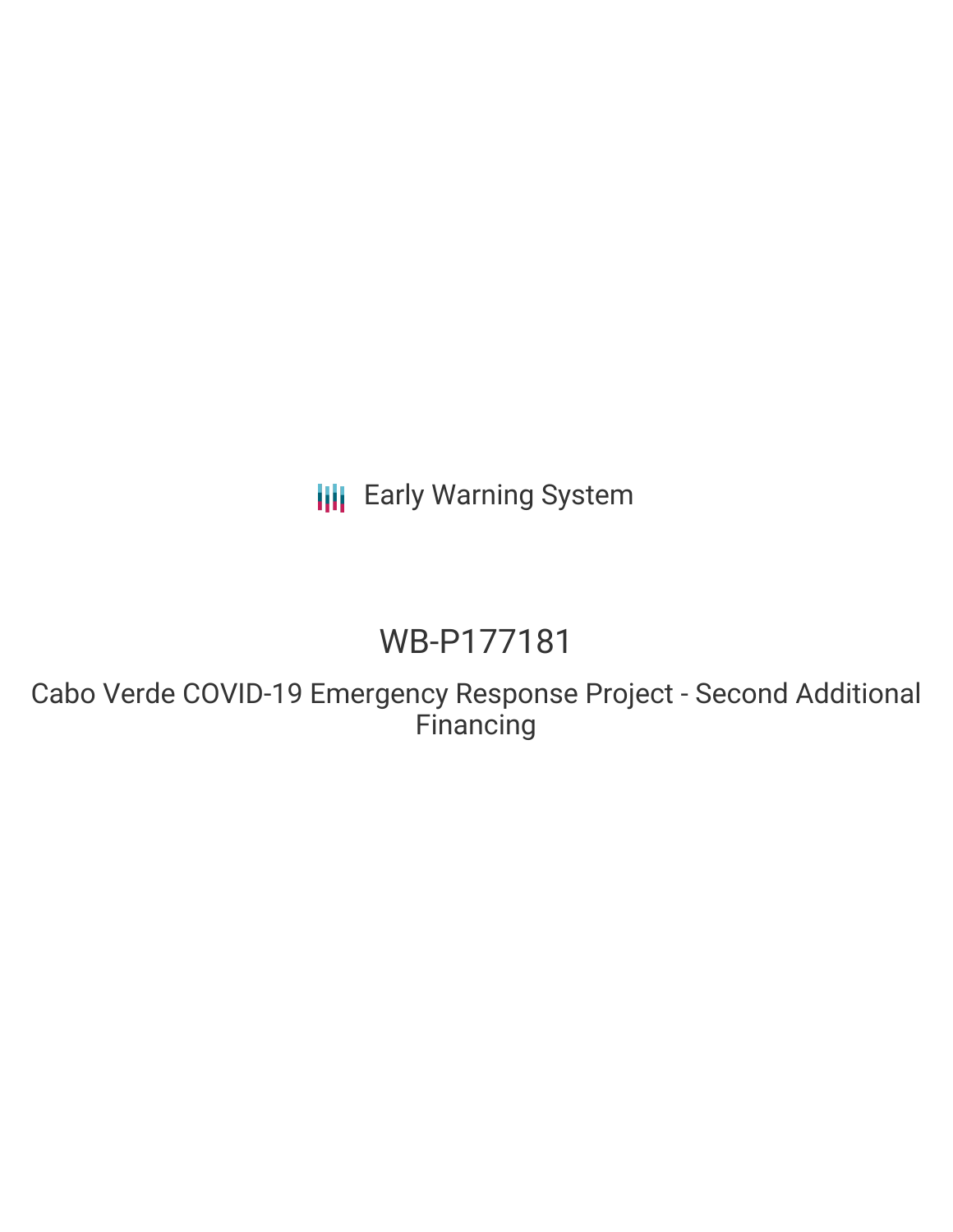**III** Early Warning System

## WB-P177181

Cabo Verde COVID-19 Emergency Response Project - Second Additional **Financing**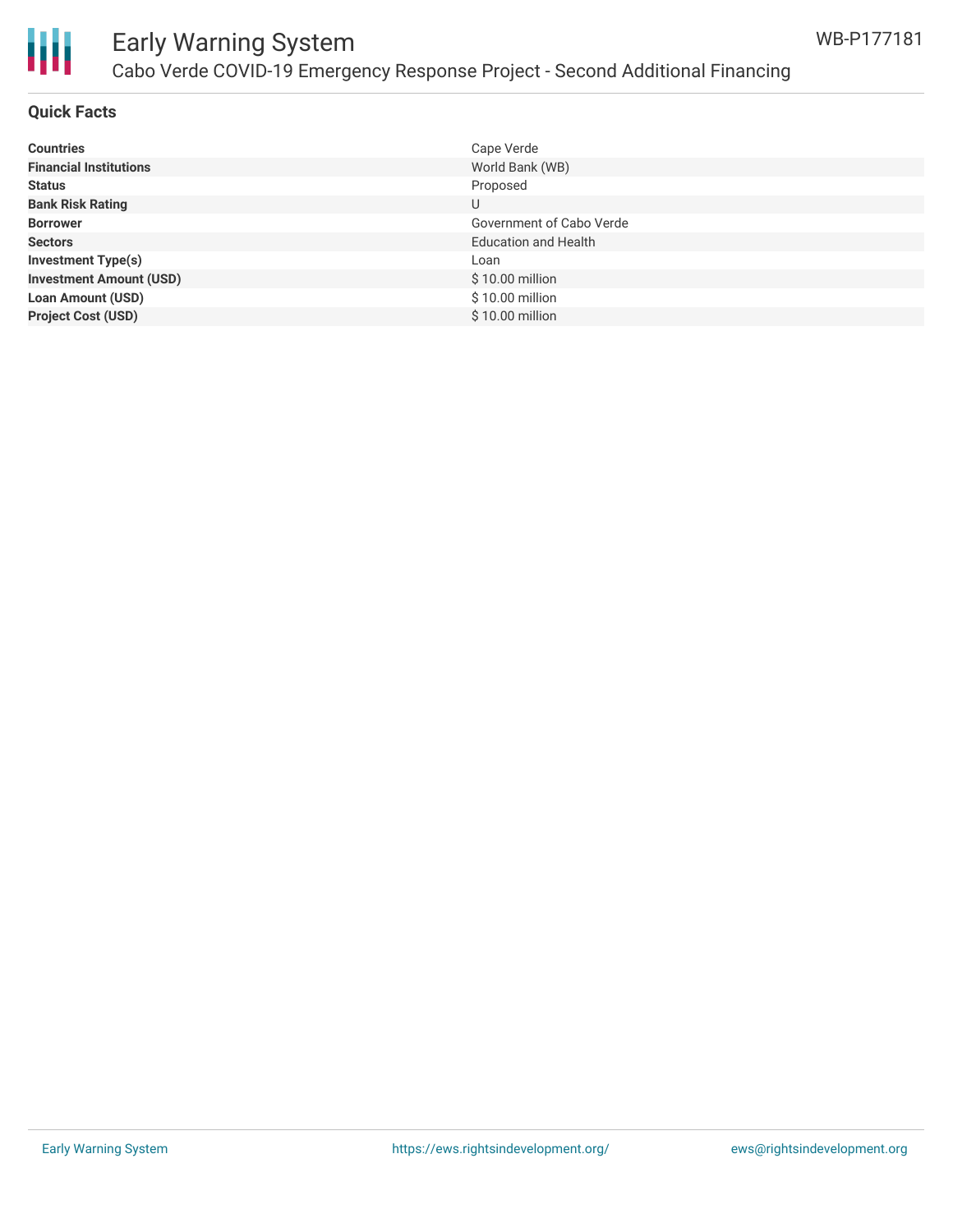

# Ш

## Early Warning System Cabo Verde COVID-19 Emergency Response Project - Second Additional Financing

#### **Quick Facts**

| <b>Countries</b>               | Cape Verde                  |
|--------------------------------|-----------------------------|
|                                |                             |
| <b>Financial Institutions</b>  | World Bank (WB)             |
| <b>Status</b>                  | Proposed                    |
| <b>Bank Risk Rating</b>        | U                           |
| <b>Borrower</b>                | Government of Cabo Verde    |
| <b>Sectors</b>                 | <b>Education and Health</b> |
| <b>Investment Type(s)</b>      | Loan                        |
| <b>Investment Amount (USD)</b> | $$10.00$ million            |
| <b>Loan Amount (USD)</b>       | \$10.00 million             |
| <b>Project Cost (USD)</b>      | $$10.00$ million            |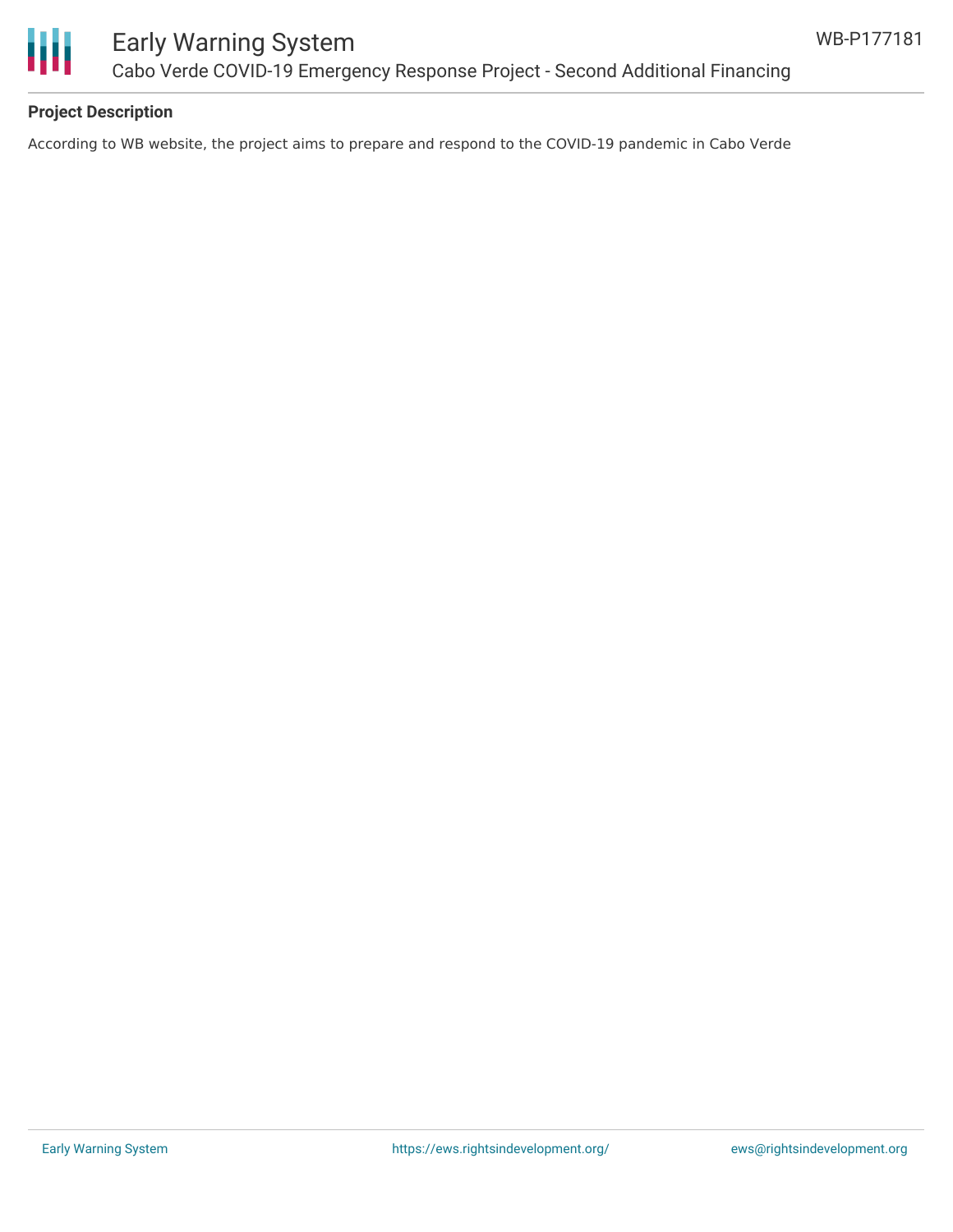

## Early Warning System Cabo Verde COVID-19 Emergency Response Project - Second Additional Financing

#### **Project Description**

According to WB website, the project aims to prepare and respond to the COVID-19 pandemic in Cabo Verde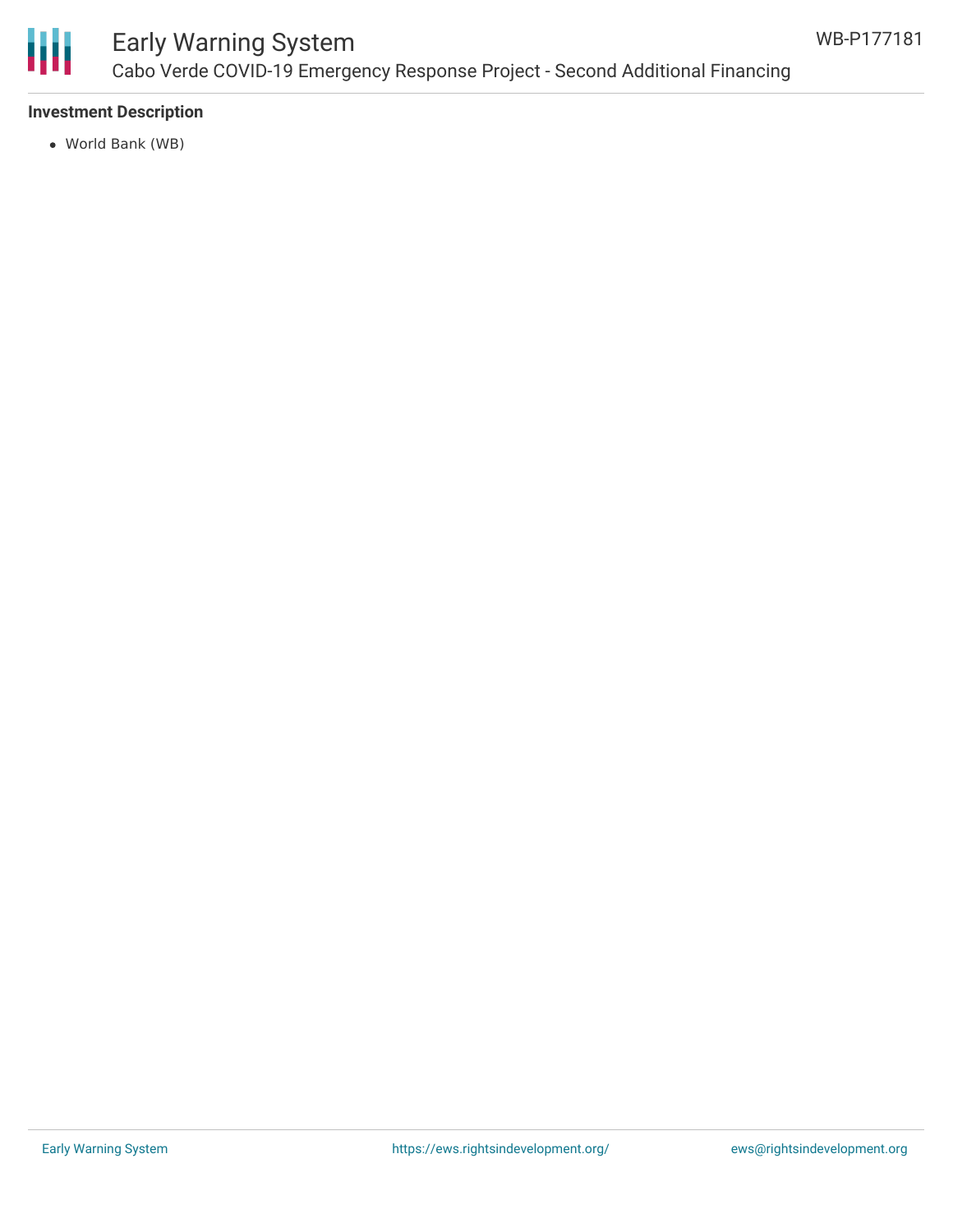

## Early Warning System Cabo Verde COVID-19 Emergency Response Project - Second Additional Financing

#### **Investment Description**

World Bank (WB)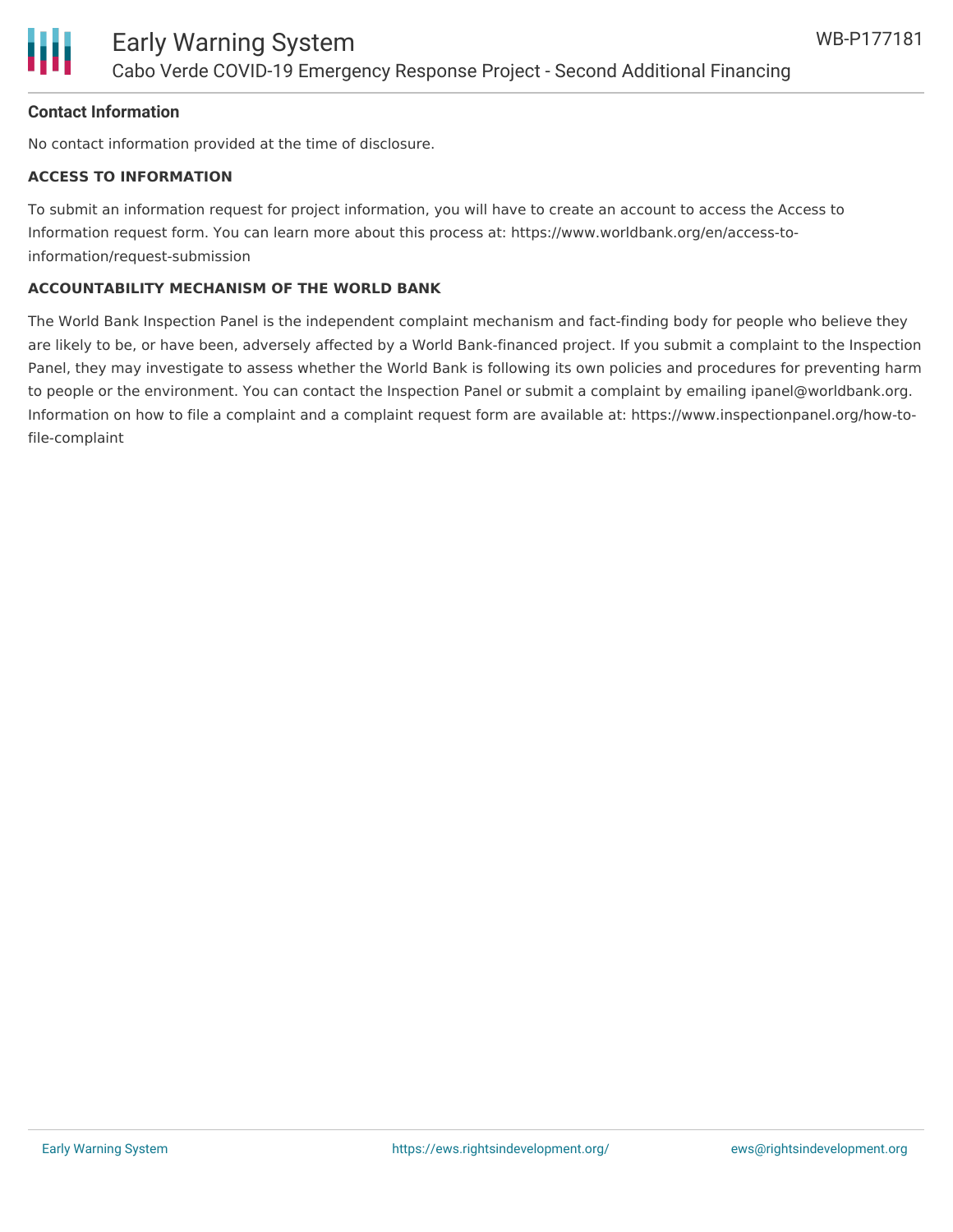

#### **Contact Information**

No contact information provided at the time of disclosure.

#### **ACCESS TO INFORMATION**

To submit an information request for project information, you will have to create an account to access the Access to Information request form. You can learn more about this process at: https://www.worldbank.org/en/access-toinformation/request-submission

#### **ACCOUNTABILITY MECHANISM OF THE WORLD BANK**

The World Bank Inspection Panel is the independent complaint mechanism and fact-finding body for people who believe they are likely to be, or have been, adversely affected by a World Bank-financed project. If you submit a complaint to the Inspection Panel, they may investigate to assess whether the World Bank is following its own policies and procedures for preventing harm to people or the environment. You can contact the Inspection Panel or submit a complaint by emailing ipanel@worldbank.org. Information on how to file a complaint and a complaint request form are available at: https://www.inspectionpanel.org/how-tofile-complaint